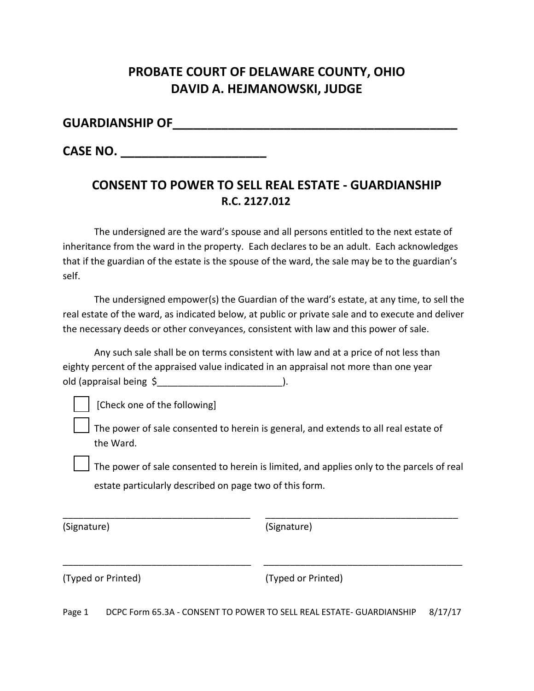# **PROBATE COURT OF DELAWARE COUNTY, OHIO DAVID A. HEJMANOWSKI, JUDGE**

#### **GUARDIANSHIP OF**

**CASE NO.** 

## **CONSENT TO POWER TO SELL REAL ESTATE - GUARDIANSHIP R.C. 2127.012**

The undersigned are the ward's spouse and all persons entitled to the next estate of inheritance from the ward in the property. Each declares to be an adult. Each acknowledges that if the guardian of the estate is the spouse of the ward, the sale may be to the guardian's self.

The undersigned empower(s) the Guardian of the ward's estate, at any time, to sell the real estate of the ward, as indicated below, at public or private sale and to execute and deliver the necessary deeds or other conveyances, consistent with law and this power of sale.

Any such sale shall be on terms consistent with law and at a price of not less than eighty percent of the appraised value indicated in an appraisal not more than one year old (appraisal being \$\_\_\_\_\_\_\_\_\_\_\_\_\_\_\_\_\_\_\_\_\_\_\_\_).

[Check one of the following]

The power of sale consented to herein is general, and extends to all real estate of the Ward.

\_\_\_\_\_\_\_\_\_\_\_\_\_\_\_\_\_\_\_\_\_\_\_\_\_\_\_\_\_\_\_\_\_\_\_\_ \_\_\_\_\_\_\_\_\_\_\_\_\_\_\_\_\_\_\_\_\_\_\_\_\_\_\_\_\_\_\_\_\_\_\_\_\_

\_\_\_\_\_\_\_\_\_\_\_\_\_\_\_\_\_\_\_\_\_\_\_\_\_\_\_\_\_\_\_\_\_\_\_\_ \_\_\_\_\_\_\_\_\_\_\_\_\_\_\_\_\_\_\_\_\_\_\_\_\_\_\_\_\_\_\_\_\_\_\_\_\_\_

The power of sale consented to herein is limited, and applies only to the parcels of real estate particularly described on page two of this form.

(Signature) (Signature)

(Typed or Printed) (Typed or Printed)